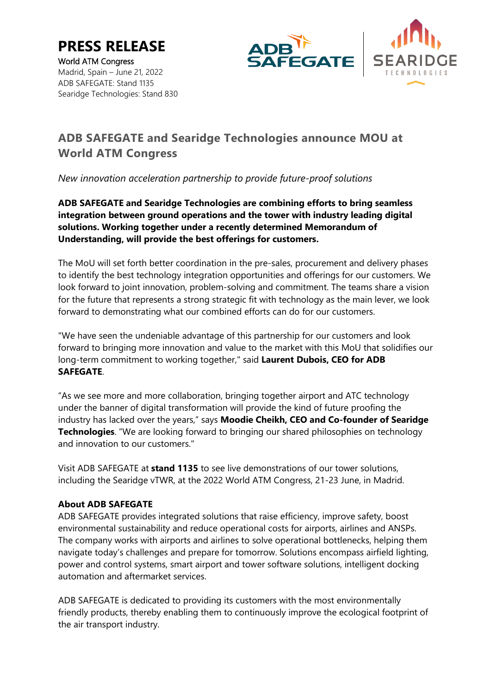**PRESS RELEASE** World ATM Congress





Madrid, Spain – June 21, 2022 ADB SAFEGATE: Stand 1135 Searidge Technologies: Stand 830

# **ADB SAFEGATE and Searidge Technologies announce MOU at World ATM Congress**

*New innovation acceleration partnership to provide future-proof solutions*

**ADB SAFEGATE and Searidge Technologies are combining efforts to bring seamless integration between ground operations and the tower with industry leading digital solutions. Working together under a recently determined Memorandum of Understanding, will provide the best offerings for customers.**

The MoU will set forth better coordination in the pre-sales, procurement and delivery phases to identify the best technology integration opportunities and offerings for our customers. We look forward to joint innovation, problem-solving and commitment. The teams share a vision for the future that represents a strong strategic fit with technology as the main lever, we look forward to demonstrating what our combined efforts can do for our customers.

"We have seen the undeniable advantage of this partnership for our customers and look forward to bringing more innovation and value to the market with this MoU that solidifies our long-term commitment to working together," said **Laurent Dubois, CEO for ADB SAFEGATE**.

"As we see more and more collaboration, bringing together airport and ATC technology under the banner of digital transformation will provide the kind of future proofing the industry has lacked over the years," says **Moodie Cheikh, CEO and Co-founder of Searidge Technologies**. "We are looking forward to bringing our shared philosophies on technology and innovation to our customers."

Visit ADB SAFEGATE at **stand 1135** to see live demonstrations of our tower solutions, including the Searidge vTWR, at the 2022 World ATM Congress, 21-23 June, in Madrid.

## **About ADB SAFEGATE**

ADB SAFEGATE provides integrated solutions that raise efficiency, improve safety, boost environmental sustainability and reduce operational costs for airports, airlines and ANSPs. The company works with airports and airlines to solve operational bottlenecks, helping them navigate today's challenges and prepare for tomorrow. Solutions encompass airfield lighting, power and control systems, smart airport and tower software solutions, intelligent docking automation and aftermarket services.

ADB SAFEGATE is dedicated to providing its customers with the most environmentally friendly products, thereby enabling them to continuously improve the ecological footprint of the air transport industry.